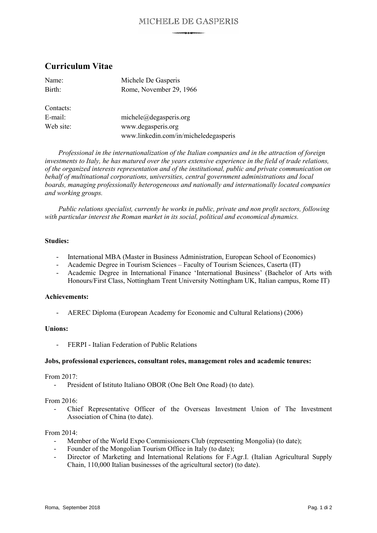## MICHELE DE GASPERIS

# **Curriculum Vitae**

| Name:     | Michele De Gasperis                   |
|-----------|---------------------------------------|
| Birth:    | Rome, November 29, 1966               |
|           |                                       |
| Contacts: |                                       |
| E-mail:   | $michele$ $@de$ gasperis.org          |
| Web site: | www.degasperis.org                    |
|           | www.linkedin.com/in/micheledegasperis |

*Professional in the internationalization of the Italian companies and in the attraction of foreign investments to Italy, he has matured over the years extensive experience in the field of trade relations, of the organized interests representation and of the institutional, public and private communication on behalf of multinational corporations, universities, central government administrations and local boards, managing professionally heterogeneous and nationally and internationally located companies and working groups.*

*Public relations specialist, currently he works in public, private and non profit sectors, following with particular interest the Roman market in its social, political and economical dynamics.*

#### **Studies:**

- International MBA (Master in Business Administration, European School of Economics)
- Academic Degree in Tourism Sciences Faculty of Tourism Sciences, Caserta (IT)
- Academic Degree in International Finance 'International Business' (Bachelor of Arts with Honours/First Class, Nottingham Trent University Nottingham UK, Italian campus, Rome IT)

### **Achievements:**

- AEREC Diploma (European Academy for Economic and Cultural Relations) (2006)

#### **Unions:**

- FERPI - Italian Federation of Public Relations

#### **Jobs, professional experiences, consultant roles, management roles and academic tenures:**

From 2017:

- President of Istituto Italiano OBOR (One Belt One Road) (to date).

#### From 2016:

- Chief Representative Officer of the Overseas Investment Union of The Investment Association of China (to date).

#### From 2014:

- Member of the World Expo Commissioners Club (representing Mongolia) (to date);
- Founder of the Mongolian Tourism Office in Italy (to date);
- Director of Marketing and International Relations for F.Agr.I. (Italian Agricultural Supply Chain, 110,000 Italian businesses of the agricultural sector) (to date).